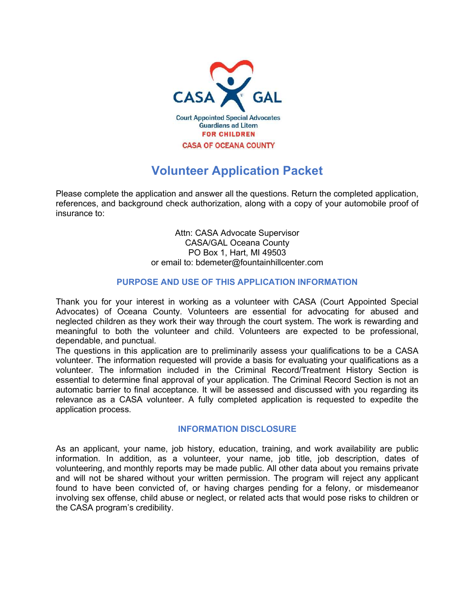

# Volunteer Application Packet

Please complete the application and answer all the questions. Return the completed application, references, and background check authorization, along with a copy of your automobile proof of insurance to:

> Attn: CASA Advocate Supervisor CASA/GAL Oceana County PO Box 1, Hart, MI 49503 or email to: bdemeter@fountainhillcenter.com

# PURPOSE AND USE OF THIS APPLICATION INFORMATION

Thank you for your interest in working as a volunteer with CASA (Court Appointed Special Advocates) of Oceana County. Volunteers are essential for advocating for abused and neglected children as they work their way through the court system. The work is rewarding and meaningful to both the volunteer and child. Volunteers are expected to be professional, dependable, and punctual.

The questions in this application are to preliminarily assess your qualifications to be a CASA volunteer. The information requested will provide a basis for evaluating your qualifications as a volunteer. The information included in the Criminal Record/Treatment History Section is essential to determine final approval of your application. The Criminal Record Section is not an automatic barrier to final acceptance. It will be assessed and discussed with you regarding its relevance as a CASA volunteer. A fully completed application is requested to expedite the application process.

# INFORMATION DISCLOSURE

As an applicant, your name, job history, education, training, and work availability are public information. In addition, as a volunteer, your name, job title, job description, dates of volunteering, and monthly reports may be made public. All other data about you remains private and will not be shared without your written permission. The program will reject any applicant found to have been convicted of, or having charges pending for a felony, or misdemeanor involving sex offense, child abuse or neglect, or related acts that would pose risks to children or the CASA program's credibility.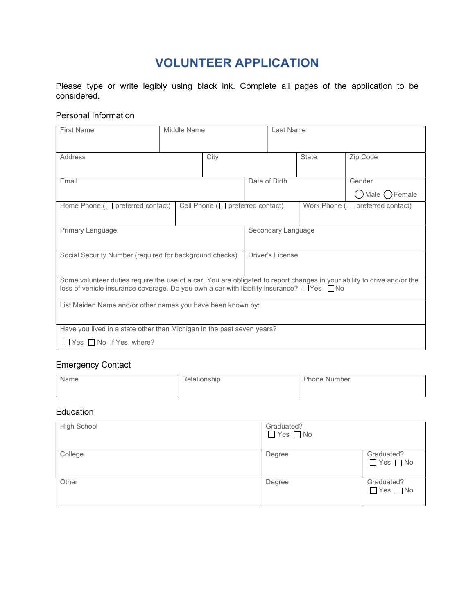# VOLUNTEER APPLICATION

Please type or write legibly using black ink. Complete all pages of the application to be considered.

## Personal Information

| <b>First Name</b>                                                                                                                                                                                                              | Middle Name |                    |                  | Last Name |                                        |          |
|--------------------------------------------------------------------------------------------------------------------------------------------------------------------------------------------------------------------------------|-------------|--------------------|------------------|-----------|----------------------------------------|----------|
| Address                                                                                                                                                                                                                        |             | City               |                  |           | State                                  | Zip Code |
| Email                                                                                                                                                                                                                          |             | Date of Birth      |                  |           | Gender<br>○Male ○Female                |          |
| Home Phone $\Box$ preferred contact)<br>Cell Phone ( $\Box$ preferred contact)                                                                                                                                                 |             |                    |                  |           | Work Phone ( $\Box$ preferred contact) |          |
| Primary Language                                                                                                                                                                                                               |             | Secondary Language |                  |           |                                        |          |
| Social Security Number (required for background checks)                                                                                                                                                                        |             |                    | Driver's License |           |                                        |          |
| Some volunteer duties require the use of a car. You are obligated to report changes in your ability to drive and/or the<br>loss of vehicle insurance coverage. Do you own a car with liability insurance? $\Box$ Yes $\Box$ No |             |                    |                  |           |                                        |          |
| List Maiden Name and/or other names you have been known by:                                                                                                                                                                    |             |                    |                  |           |                                        |          |
| Have you lived in a state other than Michigan in the past seven years?                                                                                                                                                         |             |                    |                  |           |                                        |          |
| $\Box$ Yes $\Box$ No If Yes, where?                                                                                                                                                                                            |             |                    |                  |           |                                        |          |

# Emergency Contact

| Name | Relationship | <b>Phone Number</b> |
|------|--------------|---------------------|
|      |              |                     |

#### Education

| High School | Graduated?<br>$\Box$ Yes $\Box$ No |                                    |
|-------------|------------------------------------|------------------------------------|
| College     | Degree                             | Graduated?<br>$\Box$ Yes $\Box$ No |
| Other       | Degree                             | Graduated?<br>$\Box$ Yes $\Box$ No |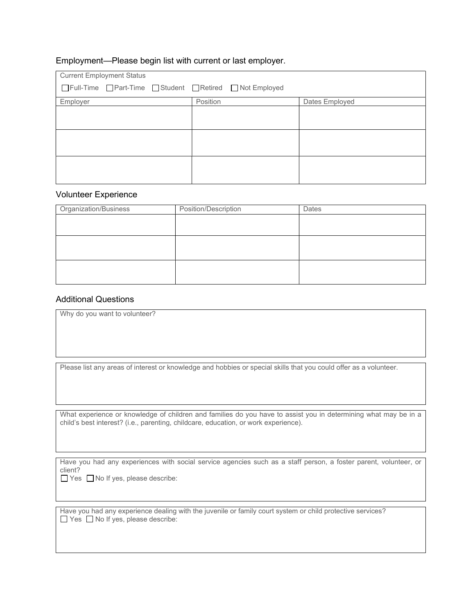#### Employment—Please begin list with current or last employer.

| <b>Current Employment Status</b>                      |          |                |  |
|-------------------------------------------------------|----------|----------------|--|
| □Full-Time □Part-Time □Student □Retired □Not Employed |          |                |  |
| Employer                                              | Position | Dates Employed |  |
|                                                       |          |                |  |
|                                                       |          |                |  |
|                                                       |          |                |  |
|                                                       |          |                |  |
|                                                       |          |                |  |
|                                                       |          |                |  |

#### Volunteer Experience

| <b>Organization/Business</b> | Position/Description | Dates |
|------------------------------|----------------------|-------|
|                              |                      |       |
|                              |                      |       |
|                              |                      |       |
|                              |                      |       |
|                              |                      |       |
|                              |                      |       |

### Additional Questions

Why do you want to volunteer?

Please list any areas of interest or knowledge and hobbies or special skills that you could offer as a volunteer.

What experience or knowledge of children and families do you have to assist you in determining what may be in a child's best interest? (i.e., parenting, childcare, education, or work experience).

Have you had any experiences with social service agencies such as a staff person, a foster parent, volunteer, or client?  $\Box$  Yes  $\Box$  No If yes, please describe:

Have you had any experience dealing with the juvenile or family court system or child protective services?  $\Box$  Yes  $\Box$  No If yes, please describe: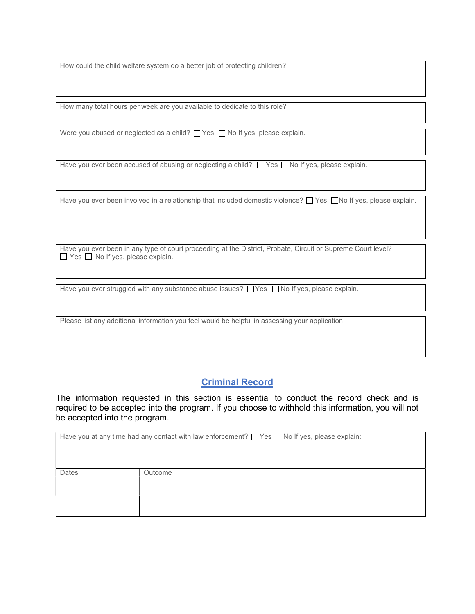How could the child welfare system do a better job of protecting children?

How many total hours per week are you available to dedicate to this role?

Were you abused or neglected as a child?  $\Box$  Yes  $\Box$  No If yes, please explain.

Have you ever been accused of abusing or neglecting a child?  $\Box$  Yes  $\Box$  No If yes, please explain.

Have you ever been involved in a relationship that included domestic violence?  $\Box$  Yes  $\Box$  No If yes, please explain.

Have you ever been in any type of court proceeding at the District, Probate, Circuit or Supreme Court level?  $\Box$  Yes  $\Box$  No If yes, please explain.

Have you ever struggled with any substance abuse issues?  $\Box$  Yes  $\Box$  No If yes, please explain.

Please list any additional information you feel would be helpful in assessing your application.

# Criminal Record

The information requested in this section is essential to conduct the record check and is required to be accepted into the program. If you choose to withhold this information, you will not be accepted into the program.

|       | Have you at any time had any contact with law enforcement? $\Box$ Yes $\Box$ No If yes, please explain: |
|-------|---------------------------------------------------------------------------------------------------------|
| Dates | Outcome                                                                                                 |
|       |                                                                                                         |
|       |                                                                                                         |
|       |                                                                                                         |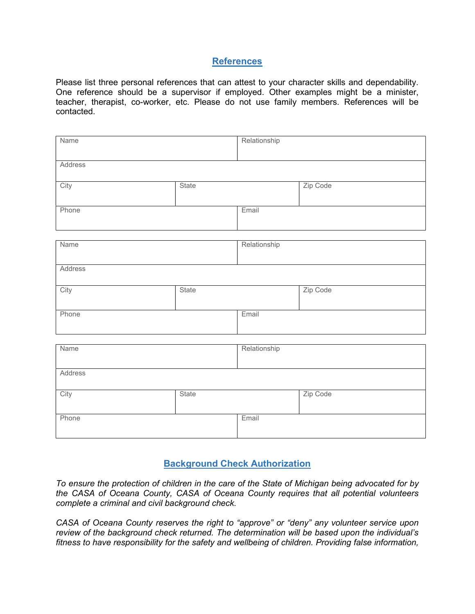# **References**

Please list three personal references that can attest to your character skills and dependability. One reference should be a supervisor if employed. Other examples might be a minister, teacher, therapist, co-worker, etc. Please do not use family members. References will be contacted.

| Name    |       | Relationship |          |  |
|---------|-------|--------------|----------|--|
| Address |       |              |          |  |
| City    | State |              | Zip Code |  |
| Phone   |       | Email        |          |  |
| Name    |       | Relationship |          |  |
| Address |       |              |          |  |
| City    | State |              | Zip Code |  |
| Phone   |       | Email        |          |  |
| Name    |       | Relationship |          |  |
| Address |       |              |          |  |
| City    | State |              | Zip Code |  |
| Phone   |       | Email        |          |  |

# Background Check Authorization

To ensure the protection of children in the care of the State of Michigan being advocated for by the CASA of Oceana County, CASA of Oceana County requires that all potential volunteers complete a criminal and civil background check.

CASA of Oceana County reserves the right to "approve" or "deny" any volunteer service upon review of the background check returned. The determination will be based upon the individual's fitness to have responsibility for the safety and wellbeing of children. Providing false information,